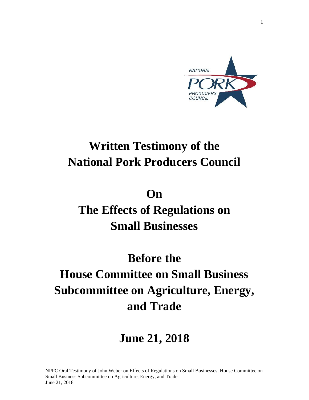

### **Written Testimony of the National Pork Producers Council**

### **On**

# **The Effects of Regulations on Small Businesses**

# **Before the House Committee on Small Business Subcommittee on Agriculture, Energy, and Trade**

### **June 21, 2018**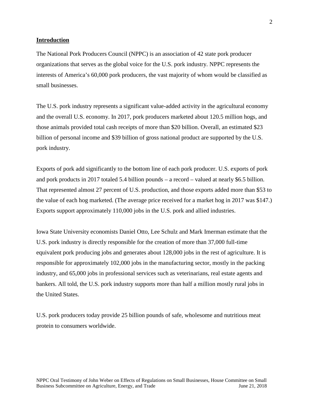#### **Introduction**

The National Pork Producers Council (NPPC) is an association of 42 state pork producer organizations that serves as the global voice for the U.S. pork industry. NPPC represents the interests of America's 60,000 pork producers, the vast majority of whom would be classified as small businesses.

The U.S. pork industry represents a significant value-added activity in the agricultural economy and the overall U.S. economy. In 2017, pork producers marketed about 120.5 million hogs, and those animals provided total cash receipts of more than \$20 billion. Overall, an estimated \$23 billion of personal income and \$39 billion of gross national product are supported by the U.S. pork industry.

Exports of pork add significantly to the bottom line of each pork producer. U.S. exports of pork and pork products in 2017 totaled 5.4 billion pounds – a record – valued at nearly \$6.5 billion. That represented almost 27 percent of U.S. production, and those exports added more than \$53 to the value of each hog marketed. (The average price received for a market hog in 2017 was \$147.) Exports support approximately 110,000 jobs in the U.S. pork and allied industries.

Iowa State University economists Daniel Otto, Lee Schulz and Mark Imerman estimate that the U.S. pork industry is directly responsible for the creation of more than 37,000 full-time equivalent pork producing jobs and generates about 128,000 jobs in the rest of agriculture. It is responsible for approximately 102,000 jobs in the manufacturing sector, mostly in the packing industry, and 65,000 jobs in professional services such as veterinarians, real estate agents and bankers. All told, the U.S. pork industry supports more than half a million mostly rural jobs in the United States.

U.S. pork producers today provide 25 billion pounds of safe, wholesome and nutritious meat protein to consumers worldwide.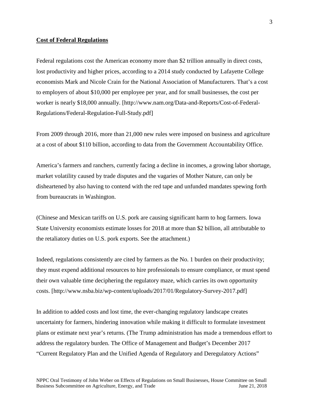#### **Cost of Federal Regulations**

Federal regulations cost the American economy more than \$2 trillion annually in direct costs, lost productivity and higher prices, according to a 2014 study conducted by Lafayette College economists Mark and Nicole Crain for the National Association of Manufacturers. That's a cost to employers of about \$10,000 per employee per year, and for small businesses, the cost per worker is nearly \$18,000 annually. [http://www.nam.org/Data-and-Reports/Cost-of-Federal- Regulations/Federal-Regulation-Full-Study.pdf]

From 2009 through 2016, more than 21,000 new rules were imposed on business and agriculture at a cost of about \$110 billion, according to data from the Government Accountability Office.

America's farmers and ranchers, currently facing a decline in incomes, a growing labor shortage, market volatility caused by trade disputes and the vagaries of Mother Nature, can only be disheartened by also having to contend with the red tape and unfunded mandates spewing forth from bureaucrats in Washington.

(Chinese and Mexican tariffs on U.S. pork are causing significant harm to hog farmers. Iowa State University economists estimate losses for 2018 at more than \$2 billion, all attributable to the retaliatory duties on U.S. pork exports. See the attachment.)

Indeed, regulations consistently are cited by farmers as the No. 1 burden on their productivity; they must expend additional resources to hire professionals to ensure compliance, or must spend their own valuable time deciphering the regulatory maze, which carries its own opportunity costs. [http://www.nsba.biz/wp-content/uploads/2017/01/Regulatory-Survey-2017.pdf]

In addition to added costs and lost time, the ever-changing regulatory landscape creates uncertainty for farmers, hindering innovation while making it difficult to formulate investment plans or estimate next year's returns. (The Trump administration has made a tremendous effort to address the regulatory burden. The Office of Management and Budget's December 2017 "Current Regulatory Plan and the Unified Agenda of Regulatory and Deregulatory Actions"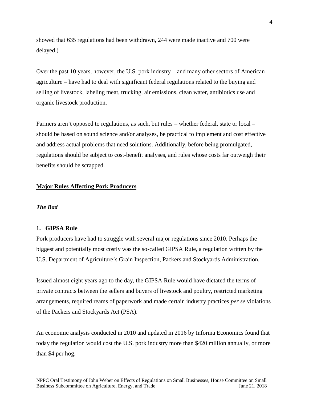showed that 635 regulations had been withdrawn, 244 were made inactive and 700 were delayed.)

Over the past 10 years, however, the U.S. pork industry – and many other sectors of American agriculture – have had to deal with significant federal regulations related to the buying and selling of livestock, labeling meat, trucking, air emissions, clean water, antibiotics use and organic livestock production.

Farmers aren't opposed to regulations, as such, but rules – whether federal, state or local – should be based on sound science and/or analyses, be practical to implement and cost effective and address actual problems that need solutions. Additionally, before being promulgated, regulations should be subject to cost-benefit analyses, and rules whose costs far outweigh their benefits should be scrapped.

#### **Major Rules Affecting Pork Producers**

#### *The Bad*

#### **1. GIPSA Rule**

Pork producers have had to struggle with several major regulations since 2010. Perhaps the biggest and potentially most costly was the so-called GIPSA Rule, a regulation written by the U.S. Department of Agriculture's Grain Inspection, Packers and Stockyards Administration.

Issued almost eight years ago to the day, the GIPSA Rule would have dictated the terms of private contracts between the sellers and buyers of livestock and poultry, restricted marketing arrangements, required reams of paperwork and made certain industry practices *per se* violations of the Packers and Stockyards Act (PSA).

An economic analysis conducted in 2010 and updated in 2016 by Informa Economics found that today the regulation would cost the U.S. pork industry more than \$420 million annually, or more than \$4 per hog.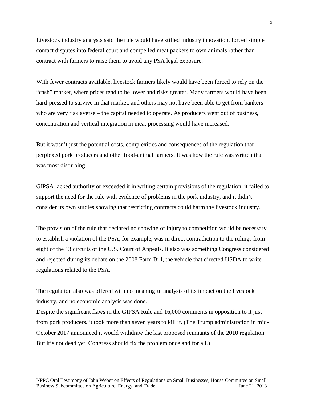Livestock industry analysts said the rule would have stifled industry innovation, forced simple contact disputes into federal court and compelled meat packers to own animals rather than contract with farmers to raise them to avoid any PSA legal exposure.

With fewer contracts available, livestock farmers likely would have been forced to rely on the "cash" market, where prices tend to be lower and risks greater. Many farmers would have been hard-pressed to survive in that market, and others may not have been able to get from bankers – who are very risk averse – the capital needed to operate. As producers went out of business, concentration and vertical integration in meat processing would have increased.

But it wasn't just the potential costs, complexities and consequences of the regulation that perplexed pork producers and other food-animal farmers. It was how the rule was written that was most disturbing.

GIPSA lacked authority or exceeded it in writing certain provisions of the regulation, it failed to support the need for the rule with evidence of problems in the pork industry, and it didn't consider its own studies showing that restricting contracts could harm the livestock industry.

The provision of the rule that declared no showing of injury to competition would be necessary to establish a violation of the PSA, for example, was in direct contradiction to the rulings from eight of the 13 circuits of the U.S. Court of Appeals. It also was something Congress considered and rejected during its debate on the 2008 Farm Bill, the vehicle that directed USDA to write regulations related to the PSA.

The regulation also was offered with no meaningful analysis of its impact on the livestock industry, and no economic analysis was done.

Despite the significant flaws in the GIPSA Rule and 16,000 comments in opposition to it just from pork producers, it took more than seven years to kill it. (The Trump administration in mid- October 2017 announced it would withdraw the last proposed remnants of the 2010 regulation. But it's not dead yet. Congress should fix the problem once and for all.)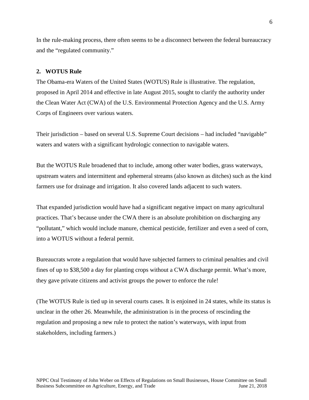In the rule-making process, there often seems to be a disconnect between the federal bureaucracy and the "regulated community."

#### **2. WOTUS Rule**

The Obama-era Waters of the United States (WOTUS) Rule is illustrative. The regulation, proposed in April 2014 and effective in late August 2015, sought to clarify the authority under the Clean Water Act (CWA) of the U.S. Environmental Protection Agency and the U.S. Army Corps of Engineers over various waters.

Their jurisdiction – based on several U.S. Supreme Court decisions – had included "navigable" waters and waters with a significant hydrologic connection to navigable waters.

But the WOTUS Rule broadened that to include, among other water bodies, grass waterways, upstream waters and intermittent and ephemeral streams (also known as ditches) such as the kind farmers use for drainage and irrigation. It also covered lands adjacent to such waters.

That expanded jurisdiction would have had a significant negative impact on many agricultural practices. That's because under the CWA there is an absolute prohibition on discharging any "pollutant," which would include manure, chemical pesticide, fertilizer and even a seed of corn, into a WOTUS without a federal permit.

Bureaucrats wrote a regulation that would have subjected farmers to criminal penalties and civil fines of up to \$38,500 a day for planting crops without a CWA discharge permit. What's more, they gave private citizens and activist groups the power to enforce the rule!

(The WOTUS Rule is tied up in several courts cases. It is enjoined in 24 states, while its status is unclear in the other 26. Meanwhile, the administration is in the process of rescinding the regulation and proposing a new rule to protect the nation's waterways, with input from stakeholders, including farmers.)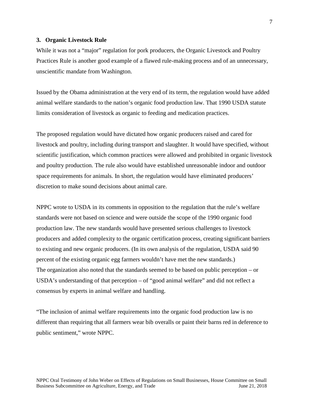#### **3. Organic Livestock Rule**

While it was not a "major" regulation for pork producers, the Organic Livestock and Poultry Practices Rule is another good example of a flawed rule-making process and of an unnecessary, unscientific mandate from Washington.

Issued by the Obama administration at the very end of its term, the regulation would have added animal welfare standards to the nation's organic food production law. That 1990 USDA statute limits consideration of livestock as organic to feeding and medication practices.

The proposed regulation would have dictated how organic producers raised and cared for livestock and poultry, including during transport and slaughter. It would have specified, without scientific justification, which common practices were allowed and prohibited in organic livestock and poultry production. The rule also would have established unreasonable indoor and outdoor space requirements for animals. In short, the regulation would have eliminated producers' discretion to make sound decisions about animal care.

NPPC wrote to USDA in its comments in opposition to the regulation that the rule's welfare standards were not based on science and were outside the scope of the 1990 organic food production law. The new standards would have presented serious challenges to livestock producers and added complexity to the organic certification process, creating significant barriers to existing and new organic producers. (In its own analysis of the regulation, USDA said 90 percent of the existing organic egg farmers wouldn't have met the new standards.) The organization also noted that the standards seemed to be based on public perception – or USDA's understanding of that perception – of "good animal welfare" and did not reflect a consensus by experts in animal welfare and handling.

"The inclusion of animal welfare requirements into the organic food production law is no different than requiring that all farmers wear bib overalls or paint their barns red in deference to public sentiment," wrote NPPC.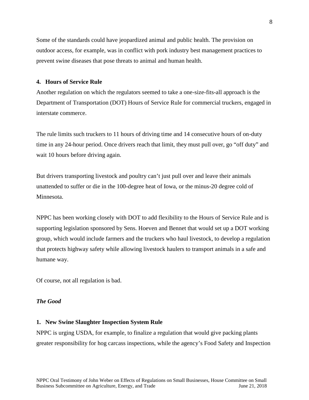Some of the standards could have jeopardized animal and public health. The provision on outdoor access, for example, was in conflict with pork industry best management practices to prevent swine diseases that pose threats to animal and human health.

#### **4. Hours of Service Rule**

Another regulation on which the regulators seemed to take a one-size-fits-all approach is the Department of Transportation (DOT) Hours of Service Rule for commercial truckers, engaged in interstate commerce.

The rule limits such truckers to 11 hours of driving time and 14 consecutive hours of on-duty time in any 24-hour period. Once drivers reach that limit, they must pull over, go "off duty" and wait 10 hours before driving again.

But drivers transporting livestock and poultry can't just pull over and leave their animals unattended to suffer or die in the 100-degree heat of Iowa, or the minus-20 degree cold of Minnesota.

NPPC has been working closely with DOT to add flexibility to the Hours of Service Rule and is supporting legislation sponsored by Sens. Hoeven and Bennet that would set up a DOT working group, which would include farmers and the truckers who haul livestock, to develop a regulation that protects highway safety while allowing livestock haulers to transport animals in a safe and humane way.

Of course, not all regulation is bad.

#### *The Good*

#### **1. New Swine Slaughter Inspection System Rule**

NPPC is urging USDA, for example, to finalize a regulation that would give packing plants greater responsibility for hog carcass inspections, while the agency's Food Safety and Inspection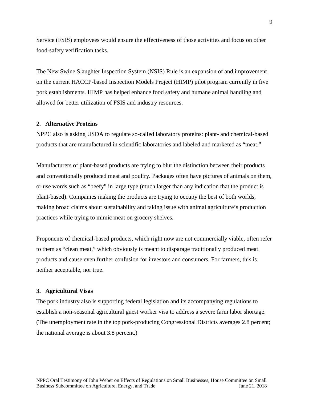Service (FSIS) employees would ensure the effectiveness of those activities and focus on other food-safety verification tasks.

The New Swine Slaughter Inspection System (NSIS) Rule is an expansion of and improvement on the current HACCP-based Inspection Models Project (HIMP) pilot program currently in five pork establishments. HIMP has helped enhance food safety and humane animal handling and allowed for better utilization of FSIS and industry resources.

#### **2. Alternative Proteins**

NPPC also is asking USDA to regulate so-called laboratory proteins: plant- and chemical-based products that are manufactured in scientific laboratories and labeled and marketed as "meat."

Manufacturers of plant-based products are trying to blur the distinction between their products and conventionally produced meat and poultry. Packages often have pictures of animals on them, or use words such as "beefy" in large type (much larger than any indication that the product is plant-based). Companies making the products are trying to occupy the best of both worlds, making broad claims about sustainability and taking issue with animal agriculture's production practices while trying to mimic meat on grocery shelves.

Proponents of chemical-based products, which right now are not commercially viable, often refer to them as "clean meat," which obviously is meant to disparage traditionally produced meat products and cause even further confusion for investors and consumers. For farmers, this is neither acceptable, nor true.

#### **3. Agricultural Visas**

The pork industry also is supporting federal legislation and its accompanying regulations to establish a non-seasonal agricultural guest worker visa to address a severe farm labor shortage. (The unemployment rate in the top pork-producing Congressional Districts averages 2.8 percent; the national average is about 3.8 percent.)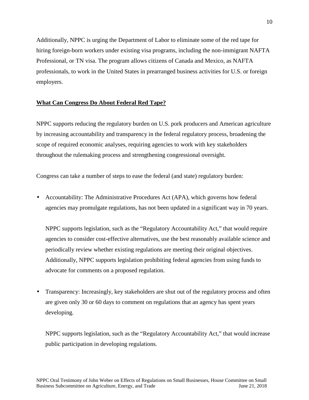Additionally, NPPC is urging the Department of Labor to eliminate some of the red tape for hiring foreign-born workers under existing visa programs, including the non-immigrant NAFTA Professional, or TN visa. The program allows citizens of Canada and Mexico, as NAFTA professionals, to work in the United States in prearranged business activities for U.S. or foreign employers.

#### **What Can Congress Do About Federal Red Tape?**

NPPC supports reducing the regulatory burden on U.S. pork producers and American agriculture by increasing accountability and transparency in the federal regulatory process, broadening the scope of required economic analyses, requiring agencies to work with key stakeholders throughout the rulemaking process and strengthening congressional oversight.

Congress can take a number of steps to ease the federal (and state) regulatory burden:

 Accountability: The Administrative Procedures Act (APA), which governs how federal agencies may promulgate regulations, has not been updated in a significant way in 70 years.

NPPC supports legislation, such as the "Regulatory Accountability Act," that would require agencies to consider cost-effective alternatives, use the best reasonably available science and periodically review whether existing regulations are meeting their original objectives. Additionally, NPPC supports legislation prohibiting federal agencies from using funds to advocate for comments on a proposed regulation.

 Transparency: Increasingly, key stakeholders are shut out of the regulatory process and often are given only 30 or 60 days to comment on regulations that an agency has spent years developing.

NPPC supports legislation, such as the "Regulatory Accountability Act," that would increase public participation in developing regulations.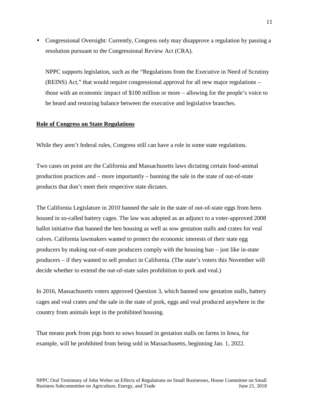• Congressional Oversight: Currently, Congress only may disapprove a regulation by passing a resolution pursuant to the Congressional Review Act (CRA).

NPPC supports legislation, such as the "Regulations from the Executive in Need of Scrutiny (REINS) Act," that would require congressional approval for all new major regulations – those with an economic impact of \$100 million or more – allowing for the people's voice to be heard and restoring balance between the executive and legislative branches.

#### **Role of Congress on State Regulations**

While they aren't federal rules, Congress still can have a role in some state regulations.

Two cases on point are the California and Massachusetts laws dictating certain food-animal production practices and – more importantly – banning the sale in the state of out-of-state products that don't meet their respective state dictates.

The California Legislature in 2010 banned the sale in the state of out-of-state eggs from hens housed in so-called battery cages. The law was adopted as an adjunct to a voter-approved 2008 ballot initiative that banned the hen housing as well as sow gestation stalls and crates for veal calves. California lawmakers wanted to protect the economic interests of their state egg producers by making out-of-state producers comply with the housing ban – just like in-state producers – if they wanted to sell product in California. (The state's voters this November will decide whether to extend the out-of-state sales prohibition to pork and veal.)

In 2016, Massachusetts voters approved Question 3, which banned sow gestation stalls, battery cages and veal crates *and* the sale in the state of pork, eggs and veal produced anywhere in the country from animals kept in the prohibited housing.

That means pork from pigs born to sows housed in gestation stalls on farms in Iowa, for example, will be prohibited from being sold in Massachusetts, beginning Jan. 1, 2022.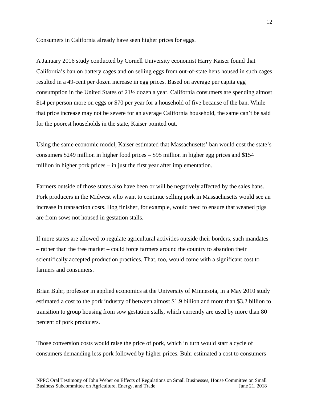Consumers in California already have seen higher prices for eggs.

A January 2016 study conducted by Cornell University economist Harry Kaiser found that California's ban on battery cages and on selling eggs from out-of-state hens housed in such cages resulted in a 49-cent per dozen increase in egg prices. Based on average per capita egg consumption in the United States of 21½ dozen a year, California consumers are spending almost \$14 per person more on eggs or \$70 per year for a household of five because of the ban. While that price increase may not be severe for an average California household, the same can't be said for the poorest households in the state, Kaiser pointed out.

Using the same economic model, Kaiser estimated that Massachusetts' ban would cost the state's consumers \$249 million in higher food prices – \$95 million in higher egg prices and \$154 million in higher pork prices – in just the first year after implementation.

Farmers outside of those states also have been or will be negatively affected by the sales bans. Pork producers in the Midwest who want to continue selling pork in Massachusetts would see an increase in transaction costs. Hog finisher, for example, would need to ensure that weaned pigs are from sows not housed in gestation stalls.

If more states are allowed to regulate agricultural activities outside their borders, such mandates – rather than the free market – could force farmers around the country to abandon their scientifically accepted production practices. That, too, would come with a significant cost to farmers and consumers.

Brian Buhr, professor in applied economics at the University of Minnesota, in a May 2010 study estimated a cost to the pork industry of between almost \$1.9 billion and more than \$3.2 billion to transition to group housing from sow gestation stalls, which currently are used by more than 80 percent of pork producers.

Those conversion costs would raise the price of pork, which in turn would start a cycle of consumers demanding less pork followed by higher prices. Buhr estimated a cost to consumers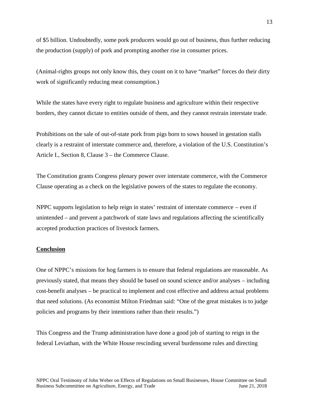of \$5 billion. Undoubtedly, some pork producers would go out of business, thus further reducing the production (supply) of pork and prompting another rise in consumer prices.

(Animal-rights groups not only know this, they count on it to have "market" forces do their dirty work of significantly reducing meat consumption.)

While the states have every right to regulate business and agriculture within their respective borders, they cannot dictate to entities outside of them, and they cannot restrain interstate trade.

Prohibitions on the sale of out-of-state pork from pigs born to sows housed in gestation stalls clearly is a restraint of interstate commerce and, therefore, a violation of the U.S. Constitution's Article I., Section 8, Clause 3 – the Commerce Clause.

The Constitution grants Congress plenary power over interstate commerce, with the Commerce Clause operating as a check on the legislative powers of the states to regulate the economy.

NPPC supports legislation to help reign in states' restraint of interstate commerce – even if unintended – and prevent a patchwork of state laws and regulations affecting the scientifically accepted production practices of livestock farmers.

#### **Conclusion**

One of NPPC's missions for hog farmers is to ensure that federal regulations are reasonable. As previously stated, that means they should be based on sound science and/or analyses – including cost-benefit analyses – be practical to implement and cost effective and address actual problems that need solutions. (As economist Milton Friedman said: "One of the great mistakes is to judge policies and programs by their intentions rather than their results.")

This Congress and the Trump administration have done a good job of starting to reign in the federal Leviathan, with the White House rescinding several burdensome rules and directing